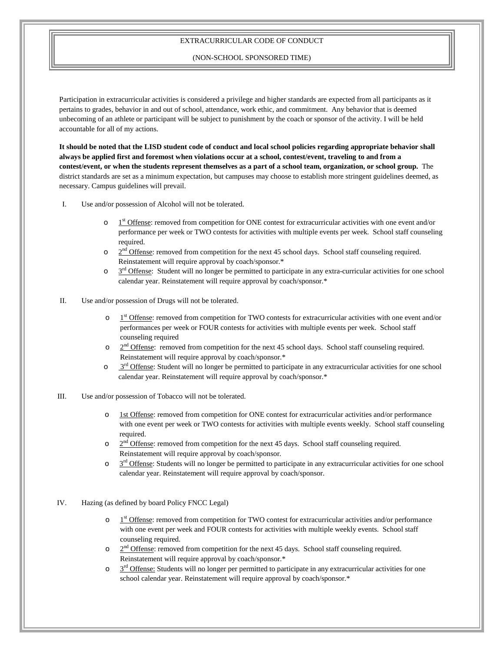## EXTRACURRICULAR CODE OF CONDUCT

## (NON-SCHOOL SPONSORED TIME)

Participation in extracurricular activities is considered a privilege and higher standards are expected from all participants as it pertains to grades, behavior in and out of school, attendance, work ethic, and commitment. Any behavior that is deemed unbecoming of an athlete or participant will be subject to punishment by the coach or sponsor of the activity. I will be held accountable for all of my actions.

**It should be noted that the LISD student code of conduct and local school policies regarding appropriate behavior shall always be applied first and foremost when violations occur at a school, contest/event, traveling to and from a contest/event, or when the students represent themselves as a part of a school team, organization, or school group.** The district standards are set as a minimum expectation, but campuses may choose to establish more stringent guidelines deemed, as necessary. Campus guidelines will prevail.

- I. Use and/or possession of Alcohol will not be tolerated.
	- $\circ$  1<sup>st</sup> Offense: removed from competition for ONE contest for extracurricular activities with one event and/or performance per week or TWO contests for activities with multiple events per week. School staff counseling required.
	- $\circ$   $2<sup>nd</sup>$  Offense: removed from competition for the next 45 school days. School staff counseling required. Reinstatement will require approval by coach/sponsor.\*
	- $\circ$   $\frac{3^{rd}}{2}$  Offense: Student will no longer be permitted to participate in any extra-curricular activities for one school calendar year. Reinstatement will require approval by coach/sponsor.\*
- II. Use and/or possession of Drugs will not be tolerated.
	- o 1st Offense: removed from competition for TWO contests for extracurricular activities with one event and/or performances per week or FOUR contests for activities with multiple events per week. School staff counseling required
	- $\circ$  2<sup>nd</sup> Offense: removed from competition for the next 45 school days. School staff counseling required. Reinstatement will require approval by coach/sponsor.\*
	- $\circ$   $3<sup>rd</sup>$  Offense: Student will no longer be permitted to participate in any extracurricular activities for one school calendar year. Reinstatement will require approval by coach/sponsor.\*
- III. Use and/or possession of Tobacco will not be tolerated.
	- 1st Offense: removed from competition for ONE contest for extracurricular activities and/or performance with one event per week or TWO contests for activities with multiple events weekly. School staff counseling required.
	- $\circ$   $2^{nd}$  Offense: removed from competition for the next 45 days. School staff counseling required. Reinstatement will require approval by coach/sponsor.
	- $\circ$   $3<sup>rd</sup>$  Offense: Students will no longer be permitted to participate in any extracurricular activities for one school calendar year. Reinstatement will require approval by coach/sponsor.
- IV. Hazing (as defined by board Policy FNCC Legal)
	- $\circ$  1<sup>st</sup> Offense: removed from competition for TWO contest for extracurricular activities and/or performance with one event per week and FOUR contests for activities with multiple weekly events. School staff counseling required.
	- $\circ$   $2<sup>nd</sup>$  Offense: removed from competition for the next 45 days. School staff counseling required. Reinstatement will require approval by coach/sponsor.\*
	- $\circ$   $3<sup>rd</sup>$  Offense: Students will no longer per permitted to participate in any extracurricular activities for one school calendar year. Reinstatement will require approval by coach/sponsor.\*